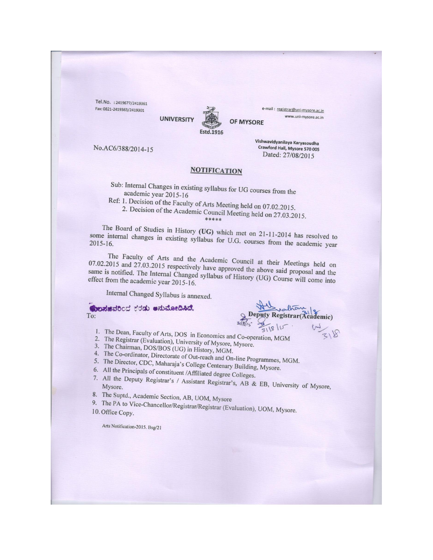Tel.No.: 2419677/2419361 Fax: 0821-2419363/2419301



**UNIVERSITY** 

e-mail: registrar@uni-mysore.ac.in www.uni-mysore.ac.in

**OF MYSORE** 

No.AC6/388/2014-15

Vishwavidyanilaya Karyasoudha Crawford Hall, Mysore 570 005 Dated: 27/08/2015

#### **NOTIFICATION**

Sub: Internal Changes in existing syllabus for UG courses from the academic year 2015-16

Ref: 1. Decision of the Faculty of Arts Meeting held on 07.02.2015. 2. Decision of the Academic Council Meeting held on 27.03.2015.

The Board of Studies in History (UG) which met on 21-11-2014 has resolved to some internal changes in existing syllabus for U.G. courses from the academic year

The Faculty of Arts and the Academic Council at their Meetings held on 07.02.2015 and 27.03.2015 respectively have approved the above said proposal and the same is notified. The Internal Changed syllabus of History (UG) Course will come into effect from the academic year 2015-16.

Internal Changed Syllabus is annexed.

Conduidocd ಕರಡು ಅನುಮೋದಿಸಿದೆ. To:

**Deputy Registrar (Ac** ademic)

1. The Dean, Faculty of Arts, DOS in Economics and Co-operation, MGM

- 2. The Registrar (Evaluation), University of Mysore, Mysore. 3. The Chairman, DOS/BOS (UG) in History, MGM.
- 
- 4. The Co-ordinator, Directorate of Out-reach and On-line Programmes, MGM.
- 5. The Director, CDC, Maharaja's College Centenary Building, Mysore.
- 6. All the Principals of constituent /Affiliated degree Colleges.
- 7. All the Deputy Registrar's / Assistant Registrar's, AB & EB, University of Mysore,
- 8. The Suptd., Academic Section, AB, UOM, Mysore
- 9. The PA to Vice-Chancellor/Registrar/Registrar (Evaluation), UOM, Mysore. 10. Office Copy.

Arts Notification-2015. Bsg/21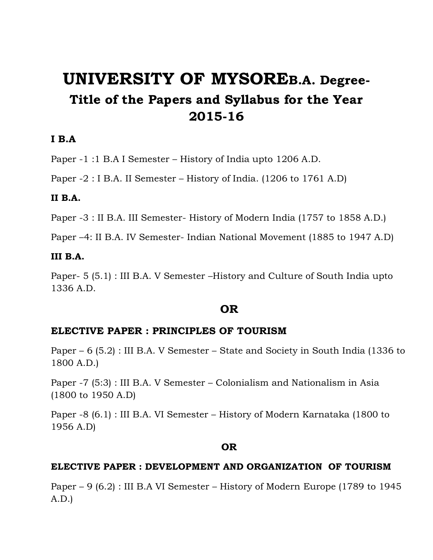# **UNIVERSITY OF MYSOREB.A. Degree-Title of the Papers and Syllabus for the Year 2015-16**

### **I B.A**

Paper -1 :1 B.A I Semester – History of India upto 1206 A.D.

Paper -2 : I B.A. II Semester – History of India. (1206 to 1761 A.D)

### **II B.A.**

Paper -3 : II B.A. III Semester- History of Modern India (1757 to 1858 A.D.)

Paper –4: II B.A. IV Semester- Indian National Movement (1885 to 1947 A.D)

### **III B.A.**

Paper- 5 (5.1) : III B.A. V Semester –History and Culture of South India upto 1336 A.D.

### **OR**

### **ELECTIVE PAPER : PRINCIPLES OF TOURISM**

Paper – 6 (5.2) : III B.A. V Semester – State and Society in South India (1336 to 1800 A.D.)

Paper -7 (5:3) : III B.A. V Semester – Colonialism and Nationalism in Asia (1800 to 1950 A.D)

Paper -8 (6.1) : III B.A. VI Semester – History of Modern Karnataka (1800 to 1956 A.D)

### **OR**

### **ELECTIVE PAPER : DEVELOPMENT AND ORGANIZATION OF TOURISM**

Paper – 9 (6.2) : III B.A VI Semester – History of Modern Europe (1789 to 1945 A.D.)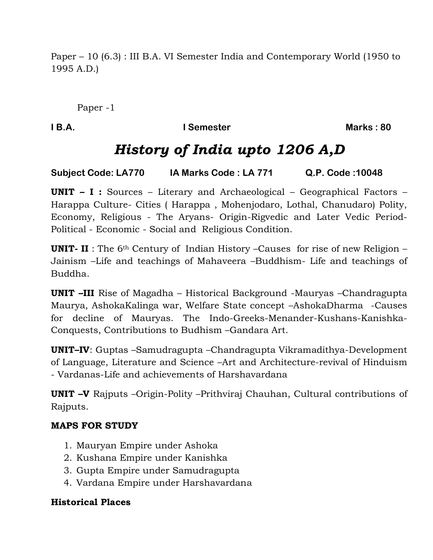Paper – 10 (6.3) : III B.A. VI Semester India and Contemporary World (1950 to 1995 A.D.)

Paper -1

**I B.A. I Semester Marks: 80** 

# *History of India upto 1206 A,D*

**Subject Code: LA770 IA Marks Code : LA 771 Q.P. Code :10048**

**UNIT – I :** Sources – Literary and Archaeological – Geographical Factors – Harappa Culture- Cities ( Harappa , Mohenjodaro, Lothal, Chanudaro) Polity, Economy, Religious - The Aryans- Origin-Rigvedic and Later Vedic Period-Political - Economic - Social and Religious Condition.

**UNIT-II**: The 6<sup>th</sup> Century of Indian History –Causes for rise of new Religion – Jainism –Life and teachings of Mahaveera –Buddhism- Life and teachings of Buddha.

**UNIT –III** Rise of Magadha – Historical Background -Mauryas –Chandragupta Maurya, AshokaKalinga war, Welfare State concept –AshokaDharma -Causes for decline of Mauryas. The Indo-Greeks-Menander-Kushans-Kanishka-Conquests, Contributions to Budhism –Gandara Art.

**UNIT–IV**: Guptas –Samudragupta –Chandragupta Vikramadithya-Development of Language, Literature and Science –Art and Architecture-revival of Hinduism - Vardanas-Life and achievements of Harshavardana

**UNIT –V** Rajputs –Origin-Polity –Prithviraj Chauhan, Cultural contributions of Rajputs.

### **MAPS FOR STUDY**

- 1. Mauryan Empire under Ashoka
- 2. Kushana Empire under Kanishka
- 3. Gupta Empire under Samudragupta
- 4. Vardana Empire under Harshavardana

### **Historical Places**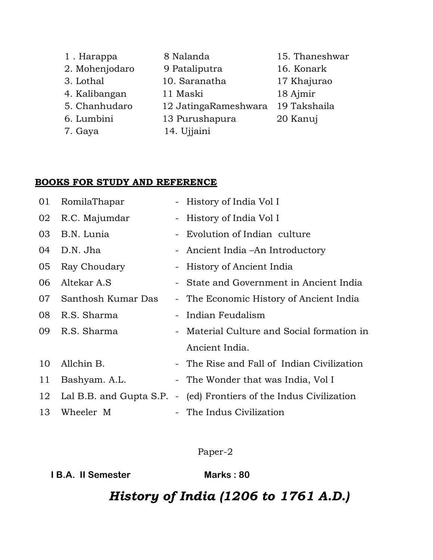| 1. Harappa     | 8 Nalanda            | 15. Thaneshwar |
|----------------|----------------------|----------------|
| 2. Mohenjodaro | 9 Pataliputra        | 16. Konark     |
| 3. Lothal      | 10. Saranatha        | 17 Khajurao    |
| 4. Kalibangan  | 11 Maski             | 18 Ajmir       |
| 5. Chanhudaro  | 12 JatingaRameshwara | 19 Takshaila   |
| 6. Lumbini     | 13 Purushapura       | 20 Kanuj       |
| 7. Gaya        | 14. Ujjaini          |                |

### **BOOKS FOR STUDY AND REFERENCE**

| 01 | RomilaThapar            |                | - History of India Vol I                   |
|----|-------------------------|----------------|--------------------------------------------|
| 02 | R.C. Majumdar           |                | - History of India Vol I                   |
| 03 | B.N. Lunia              |                | - Evolution of Indian culture              |
| 04 | D.N. Jha                |                | - Ancient India – An Introductory          |
| 05 | Ray Choudary            |                | - History of Ancient India                 |
| 06 | Altekar A.S             |                | - State and Government in Ancient India    |
| 07 | Santhosh Kumar Das      |                | - The Economic History of Ancient India    |
| 08 | R.S. Sharma             |                | - Indian Feudalism                         |
| 09 | R.S. Sharma             |                | - Material Culture and Social formation in |
|    |                         |                | Ancient India.                             |
| 10 | Allchin B.              |                | - The Rise and Fall of Indian Civilization |
| 11 | Bashyam. A.L.           |                | - The Wonder that was India, Vol I         |
| 12 | Lal B.B. and Gupta S.P. | $\blacksquare$ | (ed) Frontiers of the Indus Civilization   |
| 13 | Wheeler M               |                | - The Indus Civilization                   |

Paper-2

**I B.A. II Semester Marks: 80** 

# *History of India (1206 to 1761 A.D.)*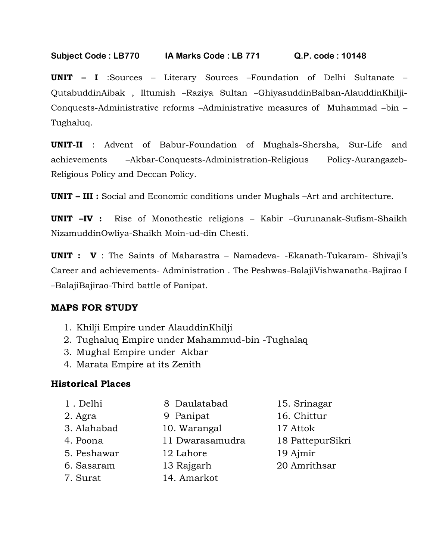**UNIT – I** :Sources – Literary Sources –Foundation of Delhi Sultanate – QutabuddinAibak , Iltumish –Raziya Sultan –GhiyasuddinBalban-AlauddinKhilji-Conquests-Administrative reforms –Administrative measures of Muhammad –bin – Tughaluq.

**UNIT-II** : Advent of Babur-Foundation of Mughals-Shersha, Sur-Life and achievements –Akbar-Conquests-Administration-Religious Policy-Aurangazeb-Religious Policy and Deccan Policy.

**UNIT – III :** Social and Economic conditions under Mughals –Art and architecture.

**UNIT –IV :** Rise of Monothestic religions – Kabir –Gurunanak-Sufism-Shaikh NizamuddinOwliya-Shaikh Moin-ud-din Chesti.

**UNIT : V** : The Saints of Maharastra – Namadeva- -Ekanath-Tukaram- Shivaji's Career and achievements- Administration . The Peshwas-BalajiVishwanatha-Bajirao I –BalajiBajirao-Third battle of Panipat.

### **MAPS FOR STUDY**

- 1. Khilji Empire under AlauddinKhilji
- 2. Tughaluq Empire under Mahammud-bin -Tughalaq
- 3. Mughal Empire under Akbar
- 4. Marata Empire at its Zenith

### **Historical Places**

- 3. Alahabad 10. Warangal 17 Attok
- 
- 
- 
- 
- 
- 
- 7. Surat 14. Amarkot
- 1 . Delhi 8 Daulatabad 15. Srinagar
- 2. Agra 9 Panipat 16. Chittur
	-
- 4. Poona 11 Dwarasamudra 18 PattepurSikri
- 5. Peshawar 12 Lahore 19 Ajmir
- 6. Sasaram 13 Rajgarh 20 Amrithsar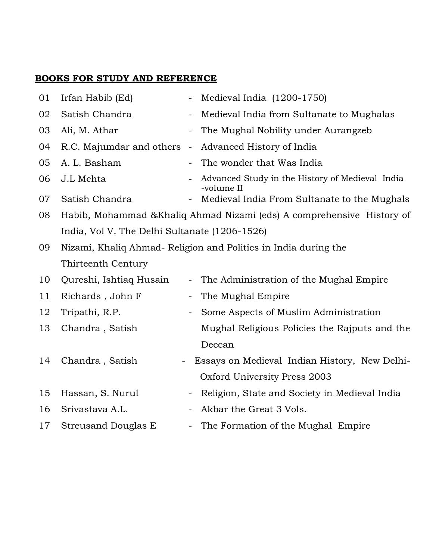| 01 | Irfan Habib (Ed)                                                       |                          | Medieval India (1200-1750)                                      |  |
|----|------------------------------------------------------------------------|--------------------------|-----------------------------------------------------------------|--|
| 02 | Satish Chandra                                                         | $\qquad \qquad -$        | Medieval India from Sultanate to Mughalas                       |  |
| 03 | Ali, M. Athar                                                          | $\overline{\phantom{a}}$ | The Mughal Nobility under Aurangzeb                             |  |
| 04 | R.C. Majumdar and others                                               | $\qquad \qquad -$        | Advanced History of India                                       |  |
| 05 | A. L. Basham                                                           |                          | The wonder that Was India                                       |  |
| 06 | J.L Mehta                                                              | $\equiv$                 | Advanced Study in the History of Medieval India<br>-volume II   |  |
| 07 | Satish Chandra                                                         |                          | Medieval India From Sultanate to the Mughals                    |  |
| 08 | Habib, Mohammad & Khaliq Ahmad Nizami (eds) A comprehensive History of |                          |                                                                 |  |
|    | India, Vol V. The Delhi Sultanate (1206-1526)                          |                          |                                                                 |  |
| 09 |                                                                        |                          | Nizami, Khaliq Ahmad- Religion and Politics in India during the |  |
|    | Thirteenth Century                                                     |                          |                                                                 |  |
| 10 | Qureshi, Ishtiaq Husain                                                |                          | The Administration of the Mughal Empire                         |  |
| 11 | Richards, John F                                                       | $\overline{\phantom{a}}$ | The Mughal Empire                                               |  |
| 12 | Tripathi, R.P.                                                         | $\overline{\phantom{a}}$ | Some Aspects of Muslim Administration                           |  |
| 13 | Chandra, Satish                                                        |                          | Mughal Religious Policies the Rajputs and the                   |  |
|    |                                                                        |                          | Deccan                                                          |  |
| 14 | Chandra, Satish                                                        |                          | Essays on Medieval Indian History, New Delhi-                   |  |
|    |                                                                        |                          | Oxford University Press 2003                                    |  |
| 15 | Hassan, S. Nurul                                                       | -                        | Religion, State and Society in Medieval India                   |  |
| 16 | Srivastava A.L.                                                        |                          | Akbar the Great 3 Vols.                                         |  |
| 17 | <b>Streusand Douglas E</b>                                             | $\overline{\phantom{a}}$ | The Formation of the Mughal Empire                              |  |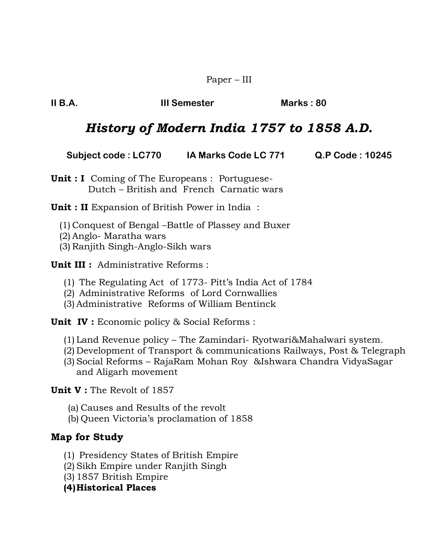Paper – III

**II B.A. III Semester Marks : 80**

## *History of Modern India 1757 to 1858 A.D.*

| <b>Subject code : LC770</b> | IA Marks Code LC 771 | Q.P Code: 10245 |
|-----------------------------|----------------------|-----------------|
|-----------------------------|----------------------|-----------------|

**Unit : I** Coming of The Europeans : Portuguese- Dutch – British and French Carnatic wars

**Unit : II** Expansion of British Power in India :

(1) Conquest of Bengal –Battle of Plassey and Buxer

(2) Anglo- Maratha wars

(3) Ranjith Singh-Anglo-Sikh wars

**Unit III :** Administrative Reforms :

- (1) The Regulating Act of 1773- Pitt's India Act of 1784
- (2) Administrative Reforms of Lord Cornwallies
- (3) Administrative Reforms of William Bentinck

**Unit IV :** Economic policy & Social Reforms :

- (1) Land Revenue policy The Zamindari- Ryotwari&Mahalwari system.
- (2) Development of Transport & communications Railways, Post & Telegraph
- (3) Social Reforms RajaRam Mohan Roy &Ishwara Chandra VidyaSagar and Aligarh movement

**Unit V :** The Revolt of 1857

- (a) Causes and Results of the revolt
- (b) Queen Victoria's proclamation of 1858

### **Map for Study**

- (1) Presidency States of British Empire
- (2) Sikh Empire under Ranjith Singh
- (3) 1857 British Empire
- **(4)Historical Places**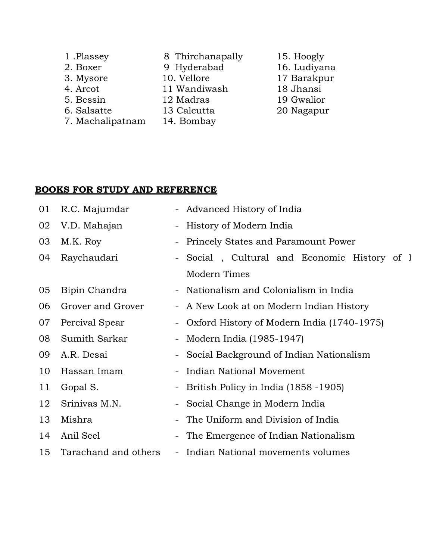| 1.Plassey        | 8 Thirchanapally |
|------------------|------------------|
| 2. Boxer         | 9 Hyderabad      |
| 3. Mysore        | 10. Vellore      |
| 4. Arcot         | 11 Wandiwash     |
| 5. Bessin        | 12 Madras        |
| 6. Salsatte      | 13 Calcutta      |
| 7. Machalipatnam | 14. Bombay       |

15. Hoogly 16. Ludiyana 17 Barakpur 18 Jhansi 19 Gwalior 20 Nagapur

| 01 | R.C. Majumdar        |                          | - Advanced History of India                  |  |  |
|----|----------------------|--------------------------|----------------------------------------------|--|--|
| 02 | V.D. Mahajan         | -                        | History of Modern India                      |  |  |
| 03 | M.K. Roy             |                          | - Princely States and Paramount Power        |  |  |
| 04 | Raychaudari          |                          | - Social, Cultural and Economic History of I |  |  |
|    |                      |                          | Modern Times                                 |  |  |
| 05 | Bipin Chandra        |                          | - Nationalism and Colonialism in India       |  |  |
| 06 | Grover and Grover    |                          | - A New Look at on Modern Indian History     |  |  |
| 07 | Percival Spear       |                          | Oxford History of Modern India (1740-1975)   |  |  |
| 08 | Sumith Sarkar        |                          | - Modern India (1985-1947)                   |  |  |
| 09 | A.R. Desai           | -                        | Social Background of Indian Nationalism      |  |  |
| 10 | Hassan Imam          |                          | Indian National Movement                     |  |  |
| 11 | Gopal S.             |                          | - British Policy in India (1858 - 1905)      |  |  |
| 12 | Srinivas M.N.        | $\sim$                   | Social Change in Modern India                |  |  |
| 13 | Mishra               | $\overline{\phantom{a}}$ | The Uniform and Division of India            |  |  |
| 14 | Anil Seel            |                          | The Emergence of Indian Nationalism          |  |  |
| 15 | Tarachand and others |                          | - Indian National movements volumes          |  |  |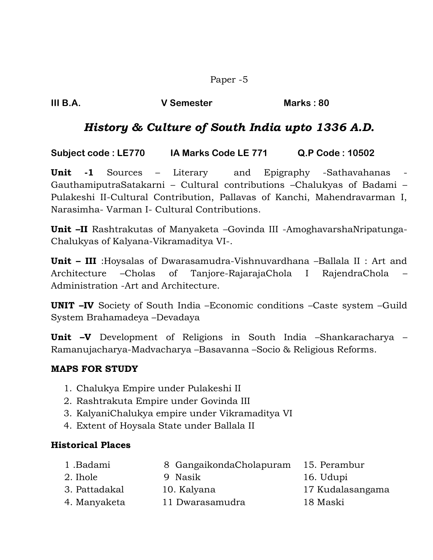Paper -5

### *History & Culture of South India upto 1336 A.D.*

**Subject code : LE770 IA Marks Code LE 771 Q.P Code : 10502** 

**Unit -1** Sources – Literary and Epigraphy -Sathavahanas GauthamiputraSatakarni – Cultural contributions –Chalukyas of Badami – Pulakeshi II-Cultural Contribution, Pallavas of Kanchi, Mahendravarman I, Narasimha- Varman I- Cultural Contributions.

**Unit –II** Rashtrakutas of Manyaketa –Govinda III -AmoghavarshaNripatunga-Chalukyas of Kalyana-Vikramaditya VI-.

**Unit – III** :Hoysalas of Dwarasamudra-Vishnuvardhana –Ballala II : Art and Architecture –Cholas of Tanjore-RajarajaChola I RajendraChola – Administration -Art and Architecture.

**UNIT –IV** Society of South India –Economic conditions –Caste system –Guild System Brahamadeya –Devadaya

**Unit –V** Development of Religions in South India –Shankaracharya – Ramanujacharya-Madvacharya –Basavanna –Socio & Religious Reforms.

### **MAPS FOR STUDY**

- 1. Chalukya Empire under Pulakeshi II
- 2. Rashtrakuta Empire under Govinda III
- 3. KalyaniChalukya empire under Vikramaditya VI
- 4. Extent of Hoysala State under Ballala II

### **Historical Places**

- 1 .Badami 8 GangaikondaCholapuram 15. Perambur 2. Ihole 9 Nasik 16. Udupi 3. Pattadakal 10. Kalyana 17 Kudalasangama
- 4. Manyaketa 11 Dwarasamudra 18 Maski
- 
-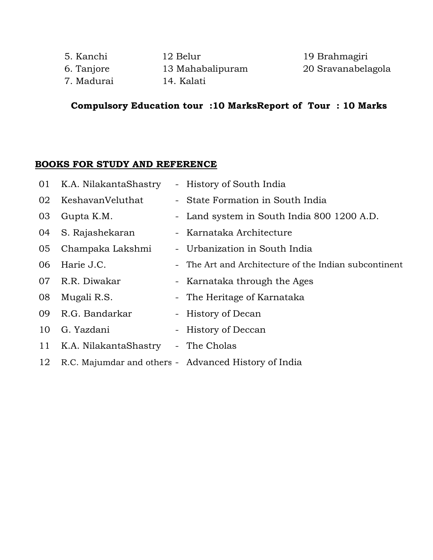| 5. Kanchi  | 12 Belur         |
|------------|------------------|
| 6. Tanjore | 13 Mahabalipuram |
| 7. Madurai | 14. Kalati       |

19 Brahmagiri 1 Mahali 20 Sravanabelagola

### **Compulsory Education tour :10 MarksReport of Tour : 10 Marks**

| 01 | K.A. NilakantaShastry | - History of South India                              |
|----|-----------------------|-------------------------------------------------------|
| 02 | KeshavanVeluthat      | - State Formation in South India                      |
| 03 | Gupta K.M.            | - Land system in South India 800 1200 A.D.            |
| 04 | S. Rajashekaran       | - Karnataka Architecture                              |
| 05 | Champaka Lakshmi      | - Urbanization in South India                         |
| 06 | Harie J.C.            | - The Art and Architecture of the Indian subcontinent |
| 07 | R.R. Diwakar          | - Karnataka through the Ages                          |
| 08 | Mugali R.S.           | - The Heritage of Karnataka                           |
| 09 | R.G. Bandarkar        | - History of Decan                                    |
| 10 | G. Yazdani            | - History of Deccan                                   |
| 11 | K.A. NilakantaShastry | - The Cholas                                          |
| 12 |                       | R.C. Majumdar and others - Advanced History of India  |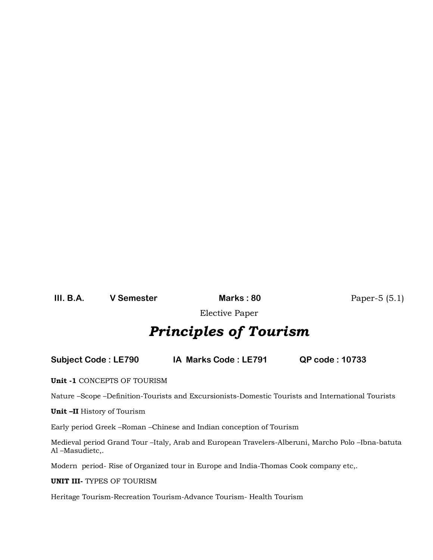**III. B.A. V Semester Marks : 80** Paper-5 (5.1)

Elective Paper

# *Principles of Tourism*

**Subject Code : LE790 IA Marks Code : LE791 QP code : 10733**

**Unit -1** CONCEPTS OF TOURISM

Nature –Scope –Definition-Tourists and Excursionists-Domestic Tourists and International Tourists

**Unit –II** History of Tourism

Early period Greek –Roman –Chinese and Indian conception of Tourism

Medieval period Grand Tour –Italy, Arab and European Travelers-Alberuni, Marcho Polo –Ibna-batuta Al –Masudietc,.

Modern period- Rise of Organized tour in Europe and India-Thomas Cook company etc,.

**UNIT III-** TYPES OF TOURISM

Heritage Tourism-Recreation Tourism-Advance Tourism- Health Tourism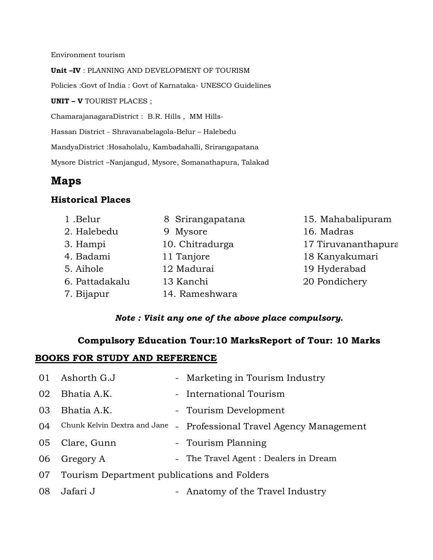Environment tourism

**Unit –IV** : PLANNING AND DEVELOPMENT OF TOURISM

Policies :Govt of India : Govt of Karnataka- UNESCO Guidelines

**UNIT – V** TOURIST PLACES ;

ChamarajanagaraDistrict : B.R. Hills , MM Hills-

Hassan District - Shravanabelagola-Belur – Halebedu

MandyaDistrict :Hosaholalu, Kambadahalli, Srirangapatana

Mysore District –Nanjangud, Mysore, Somanathapura, Talakad

### **Maps**

#### **Historical Places**

- 1 .Belur 8 Srirangapatana 15. Mahabalipuram 2. Halebedu 9 Mysore 16. Madras 3. Hampi 10. Chitradurga 17 Tiruvananthapura 4. Badami 11 Tanjore 18 Kanyakumari 5. Aihole 12 Madurai 19 Hyderabad 6. Pattadakalu 13 Kanchi 20 Pondichery 7. Bijapur 14. Rameshwara
- 

#### *Note : Visit any one of the above place compulsory.*

### **Compulsory Education Tour:10 MarksReport of Tour: 10 Marks**

| 01 | Ashorth G.J                                 |                | - Marketing in Tourism Industry       |
|----|---------------------------------------------|----------------|---------------------------------------|
| 02 | Bhatia A.K.                                 |                | - International Tourism               |
| 03 | Bhatia A.K.                                 |                | - Tourism Development                 |
| 04 | Chunk Kelvin Dextra and Jane                | $\blacksquare$ | Professional Travel Agency Management |
| 05 | Clare, Gunn                                 |                | - Tourism Planning                    |
|    | 06 Gregory A                                |                | - The Travel Agent : Dealers in Dream |
| 07 | Tourism Department publications and Folders |                |                                       |
| 08 | Jafari J                                    |                | - Anatomy of the Travel Industry      |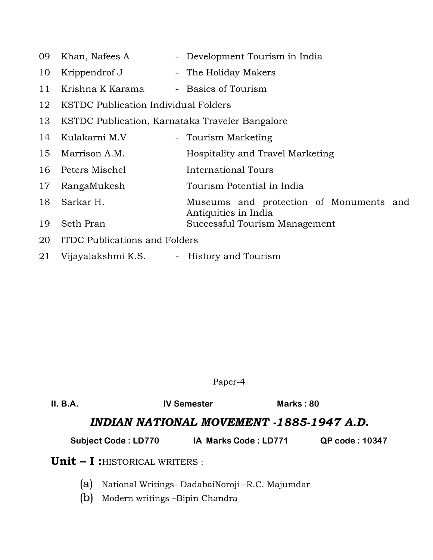- 09 Khan, Nafees A Development Tourism in India
- 10 Krippendrof J The Holiday Makers
- 11 Krishna K Karama Basics of Tourism
- 12 KSTDC Publication Individual Folders
- 13 KSTDC Publication, Karnataka Traveler Bangalore
- 14 Kulakarni M.V Tourism Marketing
- 15 Marrison A.M. Hospitality and Travel Marketing
- 16 Peters Mischel **International Tours**
- 17 RangaMukesh Tourism Potential in India
- 18 Sarkar H. Museums and protection of Monuments and Antiquities in India 19 Seth Pran Successful Tourism Management
- 20 ITDC Publications and Folders
- 21 Vijayalakshmi K.S. History and Tourism

Paper-4

| II. B.A. | <b>IV Semester</b>                    |                                          | Marks: $80$ |                       |
|----------|---------------------------------------|------------------------------------------|-------------|-----------------------|
|          |                                       | INDIAN NATIONAL MOVEMENT -1885-1947 A.D. |             |                       |
|          | <b>Subject Code: LD770</b>            | IA Marks Code: LD771                     |             | <b>QP code: 10347</b> |
|          | <b>Unit - I:</b> HISTORICAL WRITERS : |                                          |             |                       |

- (a) National Writings- DadabaiNoroji –R.C. Majumdar
- (b) Modern writings –Bipin Chandra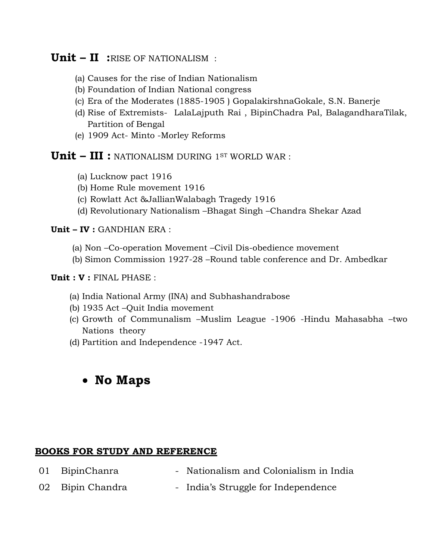### **Unit – II :**RISE OF NATIONALISM :

- (a) Causes for the rise of Indian Nationalism
- (b) Foundation of Indian National congress
- (c) Era of the Moderates (1885-1905 ) GopalakirshnaGokale, S.N. Banerje
- (d) Rise of Extremists- LalaLajputh Rai , BipinChadra Pal, BalagandharaTilak, Partition of Bengal
- (e) 1909 Act- Minto -Morley Reforms

### **Unit – III :** NATIONALISM DURING 1ST WORLD WAR :

- (a) Lucknow pact 1916
- (b) Home Rule movement 1916
- (c) Rowlatt Act &JallianWalabagh Tragedy 1916
- (d) Revolutionary Nationalism –Bhagat Singh –Chandra Shekar Azad

#### **Unit – IV :** GANDHIAN ERA :

- (a) Non –Co-operation Movement –Civil Dis-obedience movement
- (b) Simon Commission 1927-28 –Round table conference and Dr. Ambedkar

**Unit : V :** FINAL PHASE :

- (a) India National Army (INA) and Subhashandrabose
- (b) 1935 Act –Quit India movement
- (c) Growth of Communalism –Muslim League -1906 -Hindu Mahasabha –two Nations theory
- (d) Partition and Independence -1947 Act.

### **No Maps**

- 01 BipinChanra Nationalism and Colonialism in India
- 02 Bipin Chandra India's Struggle for Independence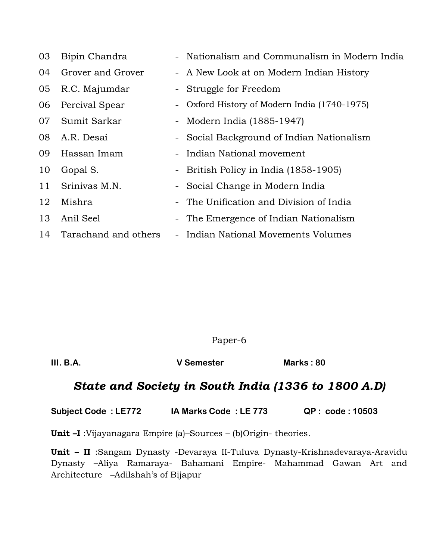| 03 | Bipin Chandra        | - Nationalism and Communalism in Modern India |
|----|----------------------|-----------------------------------------------|
| 04 | Grover and Grover    | - A New Look at on Modern Indian History      |
| 05 | R.C. Majumdar        | - Struggle for Freedom                        |
| 06 | Percival Spear       | - Oxford History of Modern India (1740-1975)  |
| 07 | Sumit Sarkar         | - Modern India (1885-1947)                    |
| 08 | A.R. Desai           | - Social Background of Indian Nationalism     |
| 09 | Hassan Imam          | - Indian National movement                    |
| 10 | Gopal S.             | - British Policy in India (1858-1905)         |
| 11 | Srinivas M.N.        | - Social Change in Modern India               |
| 12 | Mishra               | - The Unification and Division of India       |
| 13 | Anil Seel            | - The Emergence of Indian Nationalism         |
| 14 | Tarachand and others | - Indian National Movements Volumes           |

Paper-6

**III. B.A. V Semester Marks : 80** 

### *State and Society in South India (1336 to 1800 A.D)*

**Subject Code : LE772 IA Marks Code : LE 773 QP : code : 10503**

**Unit –I** :Vijayanagara Empire (a)–Sources – (b)Origin- theories.

**Unit – II** :Sangam Dynasty -Devaraya II-Tuluva Dynasty-Krishnadevaraya-Aravidu Dynasty –Aliya Ramaraya- Bahamani Empire- Mahammad Gawan Art and Architecture –Adilshah's of Bijapur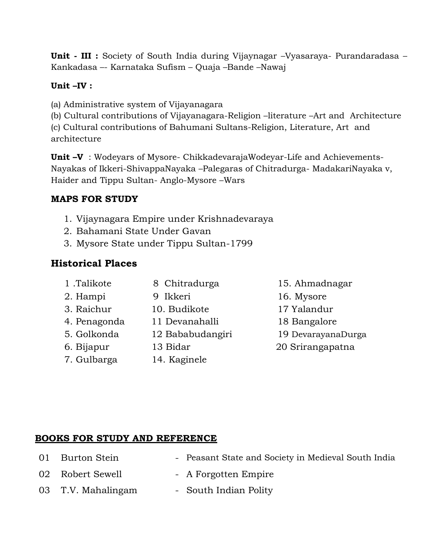**Unit - III :** Society of South India during Vijaynagar –Vyasaraya- Purandaradasa – Kankadasa –- Karnataka Sufism – Quaja –Bande –Nawaj

### **Unit –IV :**

- (a) Administrative system of Vijayanagara
- (b) Cultural contributions of Vijayanagara-Religion –literature –Art and Architecture

(c) Cultural contributions of Bahumani Sultans-Religion, Literature, Art and architecture

**Unit –V** : Wodeyars of Mysore- ChikkadevarajaWodeyar-Life and Achievements-Nayakas of Ikkeri-ShivappaNayaka –Palegaras of Chitradurga- MadakariNayaka v, Haider and Tippu Sultan- Anglo-Mysore –Wars

### **MAPS FOR STUDY**

- 1. Vijaynagara Empire under Krishnadevaraya
- 2. Bahamani State Under Gavan
- 3. Mysore State under Tippu Sultan-1799

### **Historical Places**

| 1.Talikote   | 8 Chitradurga    | 15. Ahmadnagar     |
|--------------|------------------|--------------------|
| 2. Hampi     | 9 Ikkeri         | 16. Mysore         |
| 3. Raichur   | 10. Budikote     | 17 Yalandur        |
| 4. Penagonda | 11 Devanahalli   | 18 Bangalore       |
| 5. Golkonda  | 12 Bababudangiri | 19 DevarayanaDurga |
| 6. Bijapur   | 13 Bidar         | 20 Srirangapatna   |
| 7. Gulbarga  | 14. Kaginele     |                    |
|              |                  |                    |

- 
- 01 Burton Stein Peasant State and Society in Medieval South India
- 02 Robert Sewell A Forgotten Empire
- 03 T.V. Mahalingam South Indian Polity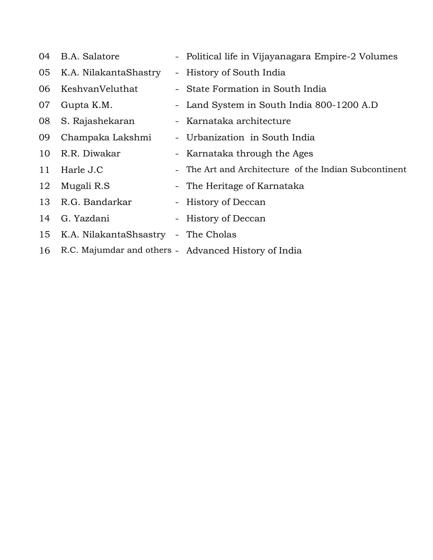| 04 | B.A. Salatore                       | - Political life in Vijayanagara Empire-2 Volumes     |
|----|-------------------------------------|-------------------------------------------------------|
| 05 | K.A. NilakantaShastry               | - History of South India                              |
| 06 | KeshvanVeluthat                     | - State Formation in South India                      |
| 07 | Gupta K.M.                          | - Land System in South India 800-1200 A.D             |
| 08 | S. Rajashekaran                     | - Karnataka architecture                              |
| 09 | Champaka Lakshmi                    | - Urbanization in South India                         |
| 10 | R.R. Diwakar                        | - Karnataka through the Ages                          |
| 11 | Harle J.C                           | - The Art and Architecture of the Indian Subcontinent |
| 12 | Mugali R.S                          | - The Heritage of Karnataka                           |
| 13 | R.G. Bandarkar                      | - History of Deccan                                   |
| 14 | G. Yazdani                          | - History of Deccan                                   |
| 15 | K.A. NilakantaShsastry - The Cholas |                                                       |
| 16 |                                     | R.C. Majumdar and others - Advanced History of India  |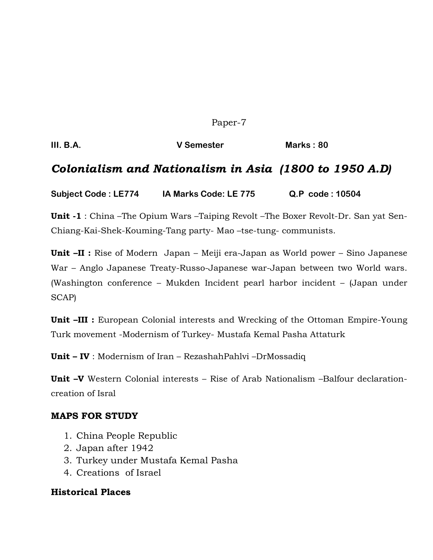Paper-7

**III. B.A. V Semester Marks : 80** 

### *Colonialism and Nationalism in Asia (1800 to 1950 A.D)*

**Subject Code : LE774 IA Marks Code: LE 775 Q.P code : 10504**

**Unit -1** : China –The Opium Wars –Taiping Revolt –The Boxer Revolt-Dr. San yat Sen-Chiang-Kai-Shek-Kouming-Tang party- Mao –tse-tung- communists.

**Unit –II :** Rise of Modern Japan – Meiji era-Japan as World power – Sino Japanese War – Anglo Japanese Treaty-Russo-Japanese war-Japan between two World wars. (Washington conference – Mukden Incident pearl harbor incident – (Japan under SCAP)

**Unit –III :** European Colonial interests and Wrecking of the Ottoman Empire-Young Turk movement -Modernism of Turkey- Mustafa Kemal Pasha Attaturk

**Unit – IV** : Modernism of Iran – RezashahPahlvi –DrMossadiq

**Unit –V** Western Colonial interests – Rise of Arab Nationalism –Balfour declarationcreation of Isral

#### **MAPS FOR STUDY**

- 1. China People Republic
- 2. Japan after 1942
- 3. Turkey under Mustafa Kemal Pasha
- 4. Creations of Israel

#### **Historical Places**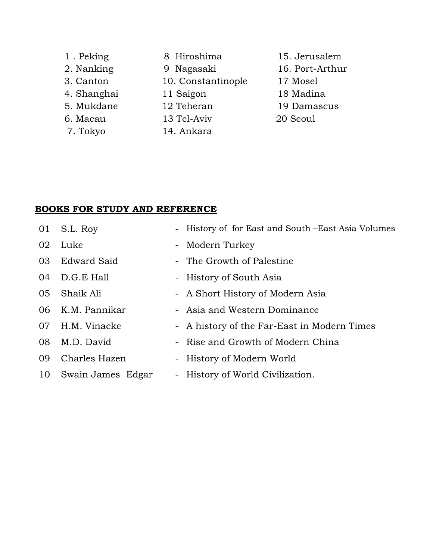| 1. Peking   | 8 Hiroshima        | 15. Jerusalem   |
|-------------|--------------------|-----------------|
| 2. Nanking  | 9 Nagasaki         | 16. Port-Arthur |
| 3. Canton   | 10. Constantinople | 17 Mosel        |
| 4. Shanghai | 11 Saigon          | 18 Madina       |
| 5. Mukdane  | 12 Teheran         | 19 Damascus     |
| 6. Macau    | 13 Tel-Aviv        | 20 Seoul        |
| 7. Tokyo    | 14. Ankara         |                 |

| 01 | S.L. Roy           | - History of for East and South – East Asia Volumes |
|----|--------------------|-----------------------------------------------------|
| 02 | Luke               | - Modern Turkey                                     |
| 03 | <b>Edward Said</b> | - The Growth of Palestine                           |
| 04 | D.G.E Hall         | - History of South Asia                             |
| 05 | Shaik Ali          | - A Short History of Modern Asia                    |
| 06 | K.M. Pannikar      | - Asia and Western Dominance                        |
| 07 | H.M. Vinacke       | - A history of the Far-East in Modern Times         |
| 08 | M.D. David         | - Rise and Growth of Modern China                   |
| 09 | Charles Hazen      | - History of Modern World                           |
| 10 | Swain James Edgar  | - History of World Civilization.                    |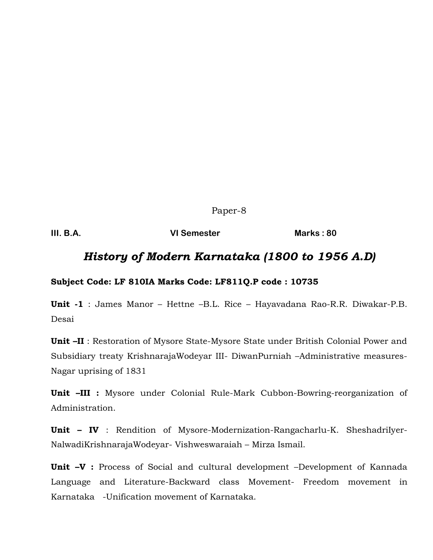Paper-8

**III. B.A. VI Semester Marks : 80**

### *History of Modern Karnataka (1800 to 1956 A.D)*

#### **Subject Code: LF 810IA Marks Code: LF811Q.P code : 10735**

**Unit -1** : James Manor – Hettne –B.L. Rice – Hayavadana Rao-R.R. Diwakar-P.B. Desai

**Unit –II** : Restoration of Mysore State-Mysore State under British Colonial Power and Subsidiary treaty KrishnarajaWodeyar III- DiwanPurniah –Administrative measures-Nagar uprising of 1831

**Unit –III :** Mysore under Colonial Rule-Mark Cubbon-Bowring-reorganization of Administration.

**Unit – IV** : Rendition of Mysore-Modernization-Rangacharlu-K. SheshadriIyer-NalwadiKrishnarajaWodeyar- Vishweswaraiah – Mirza Ismail.

**Unit –V :** Process of Social and cultural development –Development of Kannada Language and Literature-Backward class Movement- Freedom movement in Karnataka -Unification movement of Karnataka.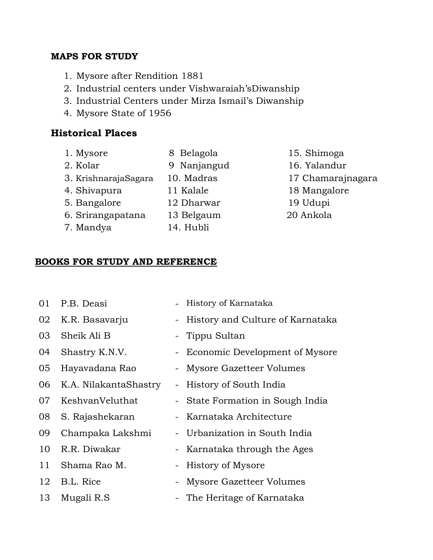### **MAPS FOR STUDY**

- 1. Mysore after Rendition 1881
- 2. Industrial centers under Vishwaraiah'sDiwanship
- 3. Industrial Centers under Mirza Ismail's Diwanship
- 4. Mysore State of 1956

### **Historical Places**

- 
- 
- 2. Kolar 9 Nanjangud 16. Yalandur
- 3. KrishnarajaSagara 10. Madras 17 Chamarajnagara
- 
- 5. Bangalore 12 Dharwar 19 Udupi
- 6. Srirangapatana 13 Belgaum 20 Ankola
- 
- 
- 
- 7. Mandya 14. Hubli
- 1. Mysore 8 Belagola 15. Shimoga 4. Shivapura 11 Kalale 18 Mangalore

### **BOOKS FOR STUDY AND REFERENCE**

01 P.B. Deasi - History of Karnataka 02 K.R. Basavarju - History and Culture of Karnataka 03 Sheik Ali B - Tippu Sultan 04 Shastry K.N.V. - Economic Development of Mysore 05 Hayavadana Rao - Mysore Gazetteer Volumes 06 K.A. NilakantaShastry - History of South India 07 KeshvanVeluthat - State Formation in Sough India 08 S. Rajashekaran - Karnataka Architecture 09 Champaka Lakshmi - Urbanization in South India 10 R.R. Diwakar - Karnataka through the Ages 11 Shama Rao M. - History of Mysore 12 B.L. Rice - Mysore Gazetteer Volumes 13 Mugali R.S - The Heritage of Karnataka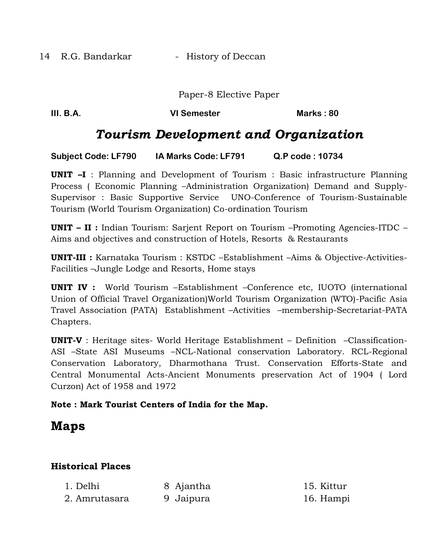14 R.G. Bandarkar - History of Deccan

Paper-8 Elective Paper

**III. B.A. CONSISTENT CONSISTENT VI Semester CONSISTENT Marks : 80** 

### *Tourism Development and Organization*

**Subject Code: LF790 IA Marks Code: LF791 Q.P code : 10734**

**UNIT –I** : Planning and Development of Tourism : Basic infrastructure Planning Process ( Economic Planning –Administration Organization) Demand and Supply-Supervisor : Basic Supportive Service UNO-Conference of Tourism-Sustainable Tourism (World Tourism Organization) Co-ordination Tourism

**UNIT – II :** Indian Tourism: Sarjent Report on Tourism –Promoting Agencies-ITDC – Aims and objectives and construction of Hotels, Resorts & Restaurants

**UNIT-III :** Karnataka Tourism : KSTDC –Establishment –Aims & Objective-Activities-Facilities –Jungle Lodge and Resorts, Home stays

**UNIT IV :** World Tourism –Establishment –Conference etc, IUOTO (international Union of Official Travel Organization)World Tourism Organization (WTO)-Pacific Asia Travel Association (PATA) Establishment –Activities –membership-Secretariat-PATA Chapters.

**UNIT-V** : Heritage sites- World Heritage Establishment – Definition –Classification-ASI –State ASI Museums –NCL-National conservation Laboratory. RCL-Regional Conservation Laboratory, Dharmothana Trust. Conservation Efforts-State and Central Monumental Acts-Ancient Monuments preservation Act of 1904 ( Lord Curzon) Act of 1958 and 1972

#### **Note : Mark Tourist Centers of India for the Map.**

### **Maps**

### **Historical Places**

| 1. Delhi      | 8 Ajantha | 15. Kittur |
|---------------|-----------|------------|
| 2. Amrutasara | 9 Jaipura | 16. Hampi  |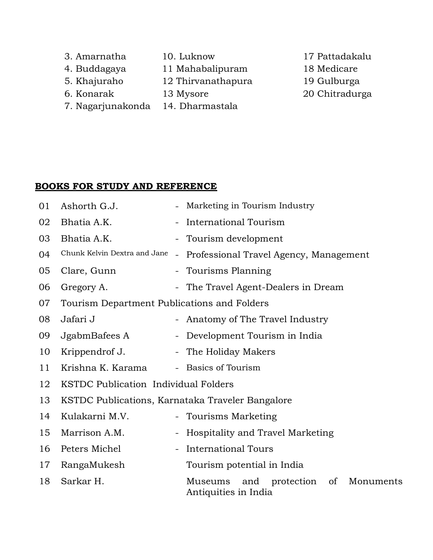- 3. Amarnatha 10. Luknow 17 Pattadakalu
- 4. Buddagaya 11 Mahabalipuram 18 Medicare
- 5. Khajuraho 12 Thirvanathapura 19 Gulburga
- 
- 
- 7. Nagarjunakonda 14. Dharmastala
- 
- 
- 
- 6. Konarak 13 Mysore 20 Chitradurga

| 01 | Ashorth G.J.                                     |                          | - Marketing in Tourism Industry                                   |  |
|----|--------------------------------------------------|--------------------------|-------------------------------------------------------------------|--|
| 02 | Bhatia A.K.                                      |                          | - International Tourism                                           |  |
| 03 | Bhatia A.K.                                      |                          | - Tourism development                                             |  |
| 04 | Chunk Kelvin Dextra and Jane                     | $\overline{\phantom{a}}$ | Professional Travel Agency, Management                            |  |
| 05 | Clare, Gunn                                      |                          | - Tourisms Planning                                               |  |
| 06 | Gregory A.                                       |                          | - The Travel Agent-Dealers in Dream                               |  |
| 07 | Tourism Department Publications and Folders      |                          |                                                                   |  |
| 08 | Jafari J                                         |                          | - Anatomy of The Travel Industry                                  |  |
| 09 | JgabmBafees A                                    |                          | - Development Tourism in India                                    |  |
| 10 | Krippendrof J.                                   |                          | - The Holiday Makers                                              |  |
| 11 | Krishna K. Karama                                |                          | - Basics of Tourism                                               |  |
| 12 | KSTDC Publication Individual Folders             |                          |                                                                   |  |
| 13 | KSTDC Publications, Karnataka Traveler Bangalore |                          |                                                                   |  |
| 14 | Kulakarni M.V.                                   |                          | - Tourisms Marketing                                              |  |
| 15 | Marrison A.M.                                    |                          | <b>Hospitality and Travel Marketing</b>                           |  |
| 16 | Peters Michel                                    |                          | <b>International Tours</b>                                        |  |
| 17 | RangaMukesh                                      |                          | Tourism potential in India                                        |  |
| 18 | Sarkar H.                                        |                          | Museums<br>and protection of<br>Monuments<br>Antiquities in India |  |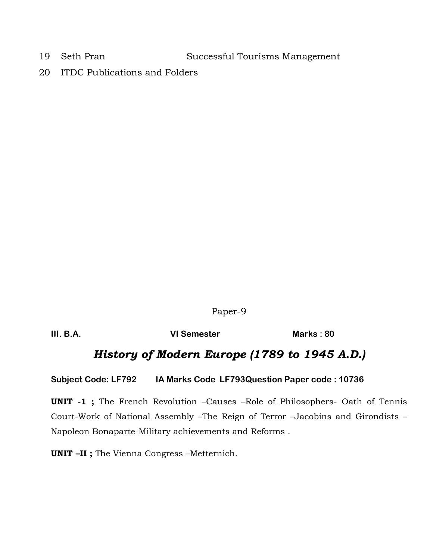19 Seth Pran Successful Tourisms Management

20 ITDC Publications and Folders

Paper-9

**III. B.A. VI Semester Marks : 80** 

### *History of Modern Europe (1789 to 1945 A.D.)*

**Subject Code: LF792 IA Marks Code LF793Question Paper code : 10736**

**UNIT -1 ;** The French Revolution –Causes –Role of Philosophers- Oath of Tennis Court-Work of National Assembly –The Reign of Terror –Jacobins and Girondists – Napoleon Bonaparte-Military achievements and Reforms .

**UNIT –II ;** The Vienna Congress –Metternich.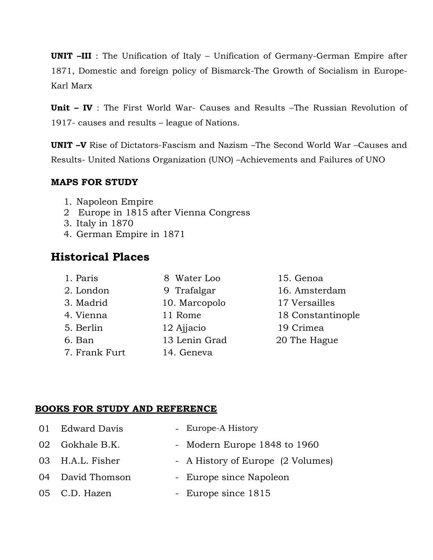**UNIT –III** : The Unification of Italy – Unification of Germany-German Empire after 1871, Domestic and foreign policy of Bismarck-The Growth of Socialism in Europe-Karl Marx

**Unit – IV** : The First World War- Causes and Results –The Russian Revolution of 1917- causes and results – league of Nations.

**UNIT –V** Rise of Dictators-Fascism and Nazism –The Second World War –Causes and Results- United Nations Organization (UNO) –Achievements and Failures of UNO

### **MAPS FOR STUDY**

- 1. Napoleon Empire
- 2 Europe in 1815 after Vienna Congress
- 3. Italy in 1870
- 4. German Empire in 1871

### **Historical Places**

- 1. Paris 8 Water Loo 15. Genoa 2. London 9 Trafalgar 16. Amsterdam 3. Madrid 10. Marcopolo 17 Versailles 4. Vienna 11 Rome 18 Constantinople 5. Berlin 12 Ajjacio 19 Crimea 6. Ban 13 Lenin Grad 20 The Hague 7. Frank Furt 14. Geneva
- 

| 01 Edward Davis  | - Europe-A History                |
|------------------|-----------------------------------|
| 02 Gokhale B.K.  | - Modern Europe 1848 to 1960      |
| 03 H.A.L. Fisher | - A History of Europe (2 Volumes) |
| 04 David Thomson | - Europe since Napoleon           |
| 05 C.D. Hazen    | - Europe since 1815               |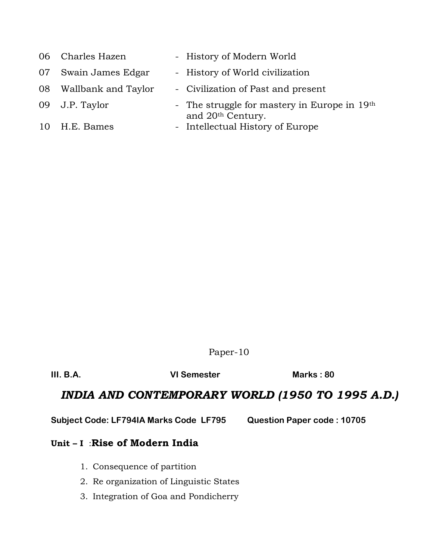| 06 Charles Hazen       | - History of Modern World                                                     |  |
|------------------------|-------------------------------------------------------------------------------|--|
| 07 Swain James Edgar   | - History of World civilization                                               |  |
| 08 Wallbank and Taylor | - Civilization of Past and present                                            |  |
| 09 J.P. Taylor         | - The struggle for mastery in Europe in 19th<br>and 20 <sup>th</sup> Century. |  |
| 10 H.E. Bames          | - Intellectual History of Europe                                              |  |

Paper-10

**III. B.A. VI Semester Marks : 80** 

### *INDIA AND CONTEMPORARY WORLD (1950 TO 1995 A.D.)*

**Subject Code: LF794IA Marks Code LF795 Question Paper code : 10705**

### **Unit – I** :**Rise of Modern India**

- 1. Consequence of partition
- 2. Re organization of Linguistic States
- 3. Integration of Goa and Pondicherry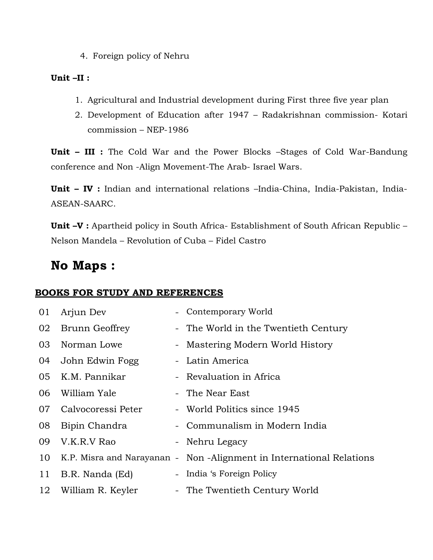4. Foreign policy of Nehru

#### **Unit –II :**

- 1. Agricultural and Industrial development during First three five year plan
- 2. Development of Education after 1947 Radakrishnan commission- Kotari commission – NEP-1986

**Unit – III :** The Cold War and the Power Blocks –Stages of Cold War-Bandung conference and Non -Align Movement-The Arab- Israel Wars.

**Unit – IV :** Indian and international relations –India-China, India-Pakistan, India-ASEAN-SAARC.

**Unit –V :** Apartheid policy in South Africa- Establishment of South African Republic – Nelson Mandela – Revolution of Cuba – Fidel Castro

### **No Maps :**

| 01 | Arjun Dev          | - Contemporary World                                                |
|----|--------------------|---------------------------------------------------------------------|
| 02 | Brunn Geoffrey     | - The World in the Twentieth Century                                |
| 03 | Norman Lowe        | - Mastering Modern World History                                    |
| 04 | John Edwin Fogg    | - Latin America                                                     |
| 05 | K.M. Pannikar      | - Revaluation in Africa                                             |
| 06 | William Yale       | - The Near East                                                     |
| 07 | Calvocoressi Peter | - World Politics since 1945                                         |
| 08 | Bipin Chandra      | - Communalism in Modern India                                       |
| 09 | V.K.R.V Rao        | - Nehru Legacy                                                      |
| 10 |                    | K.P. Misra and Narayanan - Non-Alignment in International Relations |
| 11 | B.R. Nanda (Ed)    | - India 's Foreign Policy                                           |
| 12 | William R. Keyler  | - The Twentieth Century World                                       |